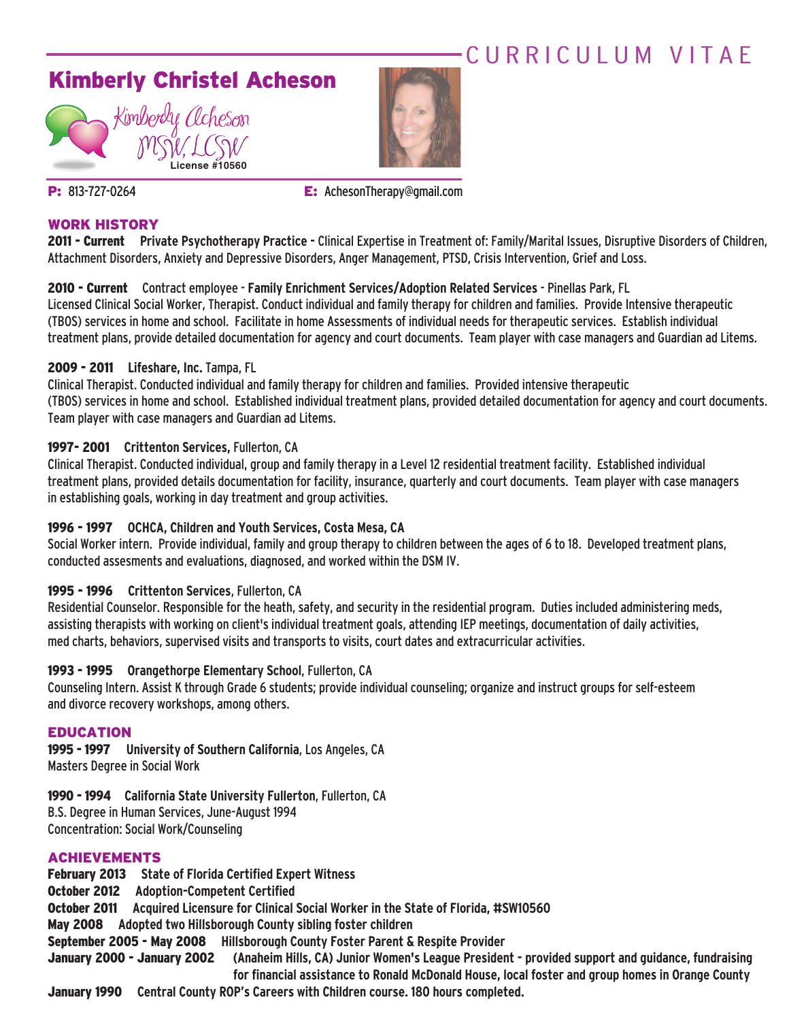## CURRICULUM VITAF





**P:** 813-727-0264 **E:** AchesonTherapy@gmail.com

#### **WORK HISTORY**

**2011 - Current Private Psychotherapy Practice -** Clinical Expertise in Treatment of: Family/Marital Issues, Disruptive Disorders of Children, Attachment Disorders, Anxiety and Depressive Disorders, Anger Management, PTSD, Crisis Intervention, Grief and Loss.

#### **2010 - Current** Contract employee - **Family Enrichment Services/Adoption Related Services** - Pinellas Park, FL

Licensed Clinical Social Worker, Therapist. Conduct individual and family therapy for children and families. Provide Intensive therapeutic (TBOS)servicesin home and school. Facilitate in home Assessments of individual needsfor therapeutic services. Establish individual treatment plans, provide detailed documentation for agency and court documents. Team player with case managers and Guardian ad Litems.

#### **2009 - 2011 Lifeshare, Inc.** Tampa, FL

Clinical Therapist. Conducted individual and family therapy for children and families. Provided intensive therapeutic (TBOS)servicesin home and school. Established individual treatment plans, provided detailed documentation for agency and court documents. Team player with case managers and Guardian ad Litems.

### **1997- 2001 Crittenton Services,** Fullerton, CA

Clinical Therapist. Conducted individual, group and family therapy in a Level 12 residential treatment facility. Established individual treatment plans, provided details documentation for facility, insurance, quarterly and court documents. Team player with case managers in establishing goals, working in day treatment and group activities.

### **1996 - 1997 OCHCA, Children and Youth Services, Costa Mesa, CA**

Social Worker intern. Provide individual, family and group therapy to children between the ages of 6 to 18. Developed treatment plans, conducted assesments and evaluations, diagnosed, and worked within the DSM IV.

### **1995 - 1996 Crittenton Services**, Fullerton, CA

Residential Counselor. Responsible for the heath, safety, and security in the residential program. Duties included administering meds, assisting therapists with working on client's individual treatment goals, attending IEP meetings, documentation of daily activities, med charts, behaviors, supervised visits and transports to visits, court dates and extracurricular activities.

### **1993 - 1995 Orangethorpe Elementary School**, Fullerton, CA

Counseling Intern. Assist K through Grade 6 students; provide individual counseling; organize and instruct groups for self-esteem and divorce recovery workshops, among others.

#### **EDUCATION**

**1995 - 1997 University of Southern California**, Los Angeles, CA Masters Degree in Social Work

**1990 - 1994 California State University Fullerton**, Fullerton, CA

B.S. Degree in Human Services, June-August 1994 Concentration: Social Work/Counseling

### **ACHIEVEMENTS**

**February 2013 State of Florida Certified Expert Witness October 2012 Adoption-Competent Certified October 2011 Acquired Licensure for Clinical Social Worker in the State of Florida, #SW10560 May 2008 Adopted two Hillsborough County sibling foster children September 2005 - May 2008 Hillsborough County Foster Parent & Respite Provider** January 2000 - January 2002 (Anaheim Hills, CA) Junior Women's League President - provided support and quidance, fundraising **for financial assistance to Ronald McDonald House, local foster and group homes in Orange County January 1990 Central County ROP's Careers with Children course. 180 hours completed.**